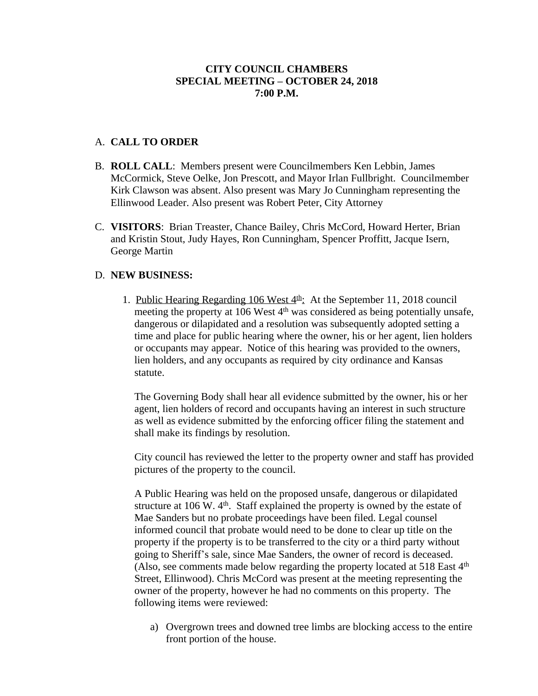# A. **CALL TO ORDER**

- B. **ROLL CALL**: Members present were Councilmembers Ken Lebbin, James McCormick, Steve Oelke, Jon Prescott, and Mayor Irlan Fullbright. Councilmember Kirk Clawson was absent. Also present was Mary Jo Cunningham representing the Ellinwood Leader. Also present was Robert Peter, City Attorney
- C. **VISITORS**: Brian Treaster, Chance Bailey, Chris McCord, Howard Herter, Brian and Kristin Stout, Judy Hayes, Ron Cunningham, Spencer Proffitt, Jacque Isern, George Martin

# D. **NEW BUSINESS:**

1. Public Hearing Regarding 106 West  $4<sup>th</sup>$ . At the September 11, 2018 council meeting the property at 106 West  $4<sup>th</sup>$  was considered as being potentially unsafe, dangerous or dilapidated and a resolution was subsequently adopted setting a time and place for public hearing where the owner, his or her agent, lien holders or occupants may appear. Notice of this hearing was provided to the owners, lien holders, and any occupants as required by city ordinance and Kansas statute.

The Governing Body shall hear all evidence submitted by the owner, his or her agent, lien holders of record and occupants having an interest in such structure as well as evidence submitted by the enforcing officer filing the statement and shall make its findings by resolution.

City council has reviewed the letter to the property owner and staff has provided pictures of the property to the council.

A Public Hearing was held on the proposed unsafe, dangerous or dilapidated structure at 106 W.  $4<sup>th</sup>$ . Staff explained the property is owned by the estate of Mae Sanders but no probate proceedings have been filed. Legal counsel informed council that probate would need to be done to clear up title on the property if the property is to be transferred to the city or a third party without going to Sheriff's sale, since Mae Sanders, the owner of record is deceased. (Also, see comments made below regarding the property located at 518 East 4th Street, Ellinwood). Chris McCord was present at the meeting representing the owner of the property, however he had no comments on this property. The following items were reviewed:

a) Overgrown trees and downed tree limbs are blocking access to the entire front portion of the house.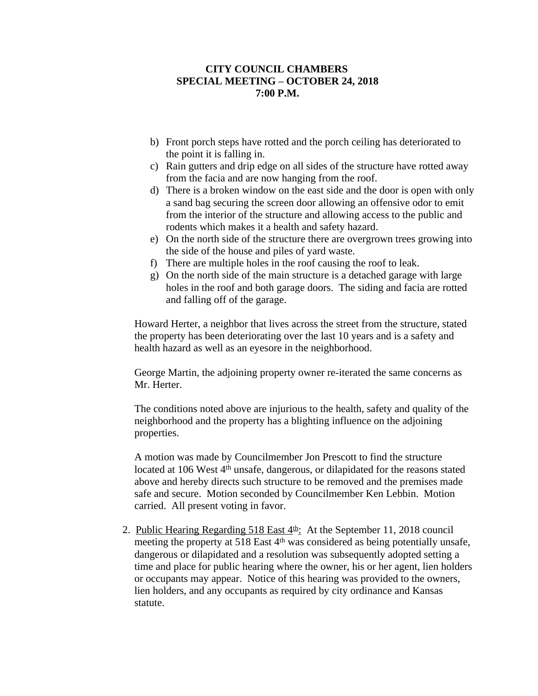- b) Front porch steps have rotted and the porch ceiling has deteriorated to the point it is falling in.
- c) Rain gutters and drip edge on all sides of the structure have rotted away from the facia and are now hanging from the roof.
- d) There is a broken window on the east side and the door is open with only a sand bag securing the screen door allowing an offensive odor to emit from the interior of the structure and allowing access to the public and rodents which makes it a health and safety hazard.
- e) On the north side of the structure there are overgrown trees growing into the side of the house and piles of yard waste.
- f) There are multiple holes in the roof causing the roof to leak.
- g) On the north side of the main structure is a detached garage with large holes in the roof and both garage doors. The siding and facia are rotted and falling off of the garage.

Howard Herter, a neighbor that lives across the street from the structure, stated the property has been deteriorating over the last 10 years and is a safety and health hazard as well as an eyesore in the neighborhood.

George Martin, the adjoining property owner re-iterated the same concerns as Mr. Herter.

The conditions noted above are injurious to the health, safety and quality of the neighborhood and the property has a blighting influence on the adjoining properties.

A motion was made by Councilmember Jon Prescott to find the structure located at 106 West  $4<sup>th</sup>$  unsafe, dangerous, or dilapidated for the reasons stated above and hereby directs such structure to be removed and the premises made safe and secure. Motion seconded by Councilmember Ken Lebbin. Motion carried. All present voting in favor.

2. Public Hearing Regarding  $518$  East  $4<sup>th</sup>$ : At the September 11, 2018 council meeting the property at 518 East 4<sup>th</sup> was considered as being potentially unsafe, dangerous or dilapidated and a resolution was subsequently adopted setting a time and place for public hearing where the owner, his or her agent, lien holders or occupants may appear. Notice of this hearing was provided to the owners, lien holders, and any occupants as required by city ordinance and Kansas statute.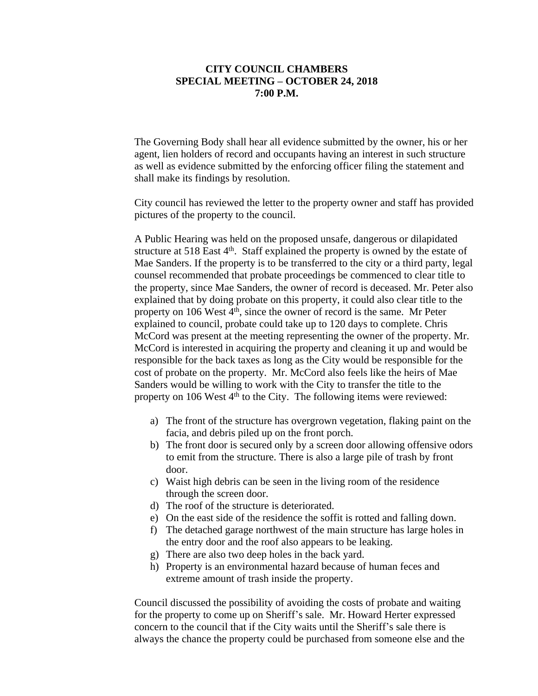The Governing Body shall hear all evidence submitted by the owner, his or her agent, lien holders of record and occupants having an interest in such structure as well as evidence submitted by the enforcing officer filing the statement and shall make its findings by resolution.

City council has reviewed the letter to the property owner and staff has provided pictures of the property to the council.

A Public Hearing was held on the proposed unsafe, dangerous or dilapidated structure at 518 East  $4<sup>th</sup>$ . Staff explained the property is owned by the estate of Mae Sanders. If the property is to be transferred to the city or a third party, legal counsel recommended that probate proceedings be commenced to clear title to the property, since Mae Sanders, the owner of record is deceased. Mr. Peter also explained that by doing probate on this property, it could also clear title to the property on 106 West 4<sup>th</sup>, since the owner of record is the same. Mr Peter explained to council, probate could take up to 120 days to complete. Chris McCord was present at the meeting representing the owner of the property. Mr. McCord is interested in acquiring the property and cleaning it up and would be responsible for the back taxes as long as the City would be responsible for the cost of probate on the property. Mr. McCord also feels like the heirs of Mae Sanders would be willing to work with the City to transfer the title to the property on 106 West  $4<sup>th</sup>$  to the City. The following items were reviewed:

- a) The front of the structure has overgrown vegetation, flaking paint on the facia, and debris piled up on the front porch.
- b) The front door is secured only by a screen door allowing offensive odors to emit from the structure. There is also a large pile of trash by front door.
- c) Waist high debris can be seen in the living room of the residence through the screen door.
- d) The roof of the structure is deteriorated.
- e) On the east side of the residence the soffit is rotted and falling down.
- f) The detached garage northwest of the main structure has large holes in the entry door and the roof also appears to be leaking.
- g) There are also two deep holes in the back yard.
- h) Property is an environmental hazard because of human feces and extreme amount of trash inside the property.

Council discussed the possibility of avoiding the costs of probate and waiting for the property to come up on Sheriff's sale. Mr. Howard Herter expressed concern to the council that if the City waits until the Sheriff's sale there is always the chance the property could be purchased from someone else and the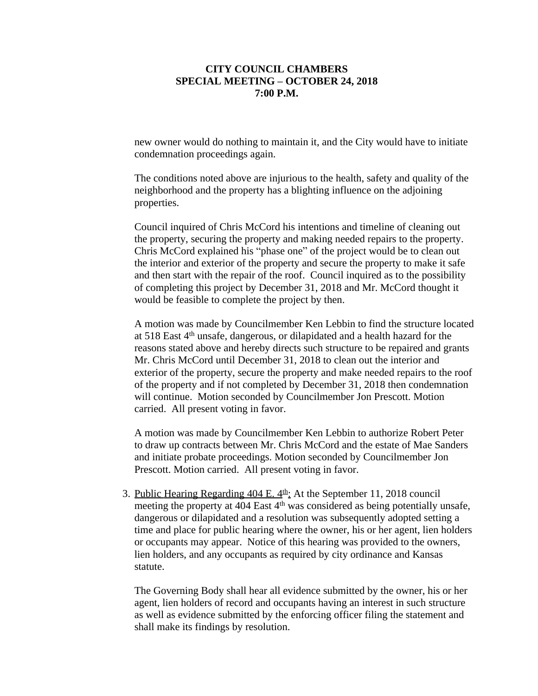new owner would do nothing to maintain it, and the City would have to initiate condemnation proceedings again.

The conditions noted above are injurious to the health, safety and quality of the neighborhood and the property has a blighting influence on the adjoining properties.

Council inquired of Chris McCord his intentions and timeline of cleaning out the property, securing the property and making needed repairs to the property. Chris McCord explained his "phase one" of the project would be to clean out the interior and exterior of the property and secure the property to make it safe and then start with the repair of the roof. Council inquired as to the possibility of completing this project by December 31, 2018 and Mr. McCord thought it would be feasible to complete the project by then.

A motion was made by Councilmember Ken Lebbin to find the structure located at 518 East 4th unsafe, dangerous, or dilapidated and a health hazard for the reasons stated above and hereby directs such structure to be repaired and grants Mr. Chris McCord until December 31, 2018 to clean out the interior and exterior of the property, secure the property and make needed repairs to the roof of the property and if not completed by December 31, 2018 then condemnation will continue. Motion seconded by Councilmember Jon Prescott. Motion carried. All present voting in favor.

A motion was made by Councilmember Ken Lebbin to authorize Robert Peter to draw up contracts between Mr. Chris McCord and the estate of Mae Sanders and initiate probate proceedings. Motion seconded by Councilmember Jon Prescott. Motion carried. All present voting in favor.

3. Public Hearing Regarding 404 E.  $4th$ : At the September 11, 2018 council meeting the property at 404 East 4th was considered as being potentially unsafe, dangerous or dilapidated and a resolution was subsequently adopted setting a time and place for public hearing where the owner, his or her agent, lien holders or occupants may appear. Notice of this hearing was provided to the owners, lien holders, and any occupants as required by city ordinance and Kansas statute.

The Governing Body shall hear all evidence submitted by the owner, his or her agent, lien holders of record and occupants having an interest in such structure as well as evidence submitted by the enforcing officer filing the statement and shall make its findings by resolution.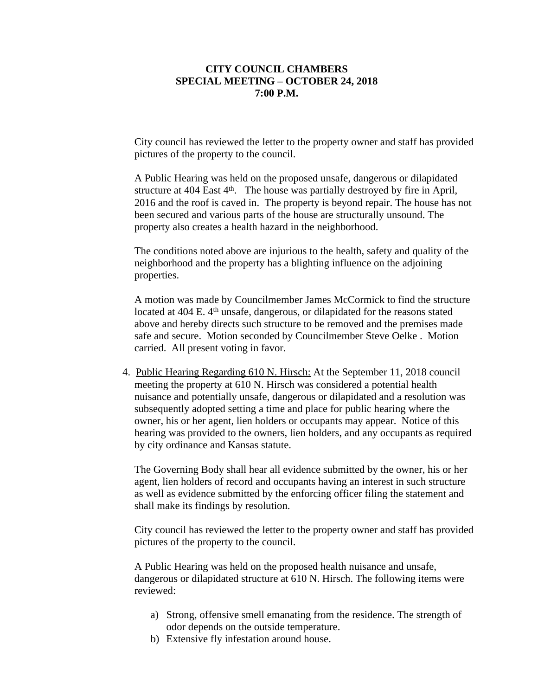City council has reviewed the letter to the property owner and staff has provided pictures of the property to the council.

A Public Hearing was held on the proposed unsafe, dangerous or dilapidated structure at  $404$  East  $4<sup>th</sup>$ . The house was partially destroyed by fire in April, 2016 and the roof is caved in. The property is beyond repair. The house has not been secured and various parts of the house are structurally unsound. The property also creates a health hazard in the neighborhood.

The conditions noted above are injurious to the health, safety and quality of the neighborhood and the property has a blighting influence on the adjoining properties.

A motion was made by Councilmember James McCormick to find the structure located at  $404$  E.  $4<sup>th</sup>$  unsafe, dangerous, or dilapidated for the reasons stated above and hereby directs such structure to be removed and the premises made safe and secure. Motion seconded by Councilmember Steve Oelke . Motion carried. All present voting in favor.

4. Public Hearing Regarding 610 N. Hirsch: At the September 11, 2018 council meeting the property at 610 N. Hirsch was considered a potential health nuisance and potentially unsafe, dangerous or dilapidated and a resolution was subsequently adopted setting a time and place for public hearing where the owner, his or her agent, lien holders or occupants may appear. Notice of this hearing was provided to the owners, lien holders, and any occupants as required by city ordinance and Kansas statute.

The Governing Body shall hear all evidence submitted by the owner, his or her agent, lien holders of record and occupants having an interest in such structure as well as evidence submitted by the enforcing officer filing the statement and shall make its findings by resolution.

City council has reviewed the letter to the property owner and staff has provided pictures of the property to the council.

A Public Hearing was held on the proposed health nuisance and unsafe, dangerous or dilapidated structure at 610 N. Hirsch. The following items were reviewed:

- a) Strong, offensive smell emanating from the residence. The strength of odor depends on the outside temperature.
- b) Extensive fly infestation around house.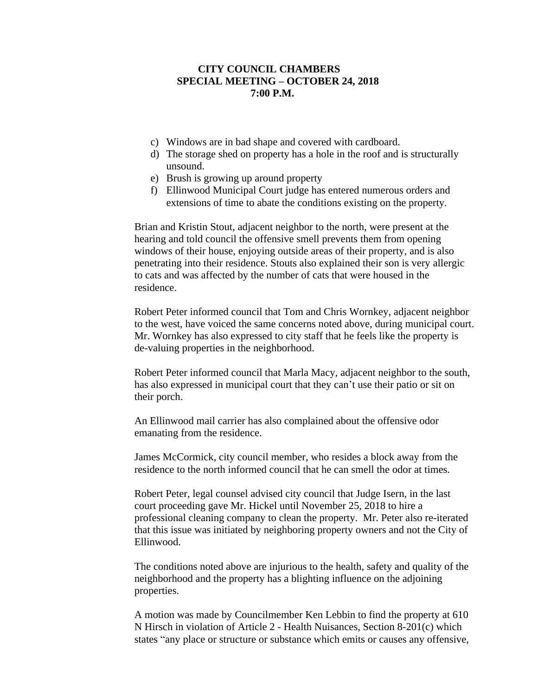- c) Windows are in bad shape and covered with cardboard.
- d) The storage shed on property has a hole in the roof and is structurally unsound.
- e) Brush is growing up around property
- f) Ellinwood Municipal Court judge has entered numerous orders and extensions of time to abate the conditions existing on the property.

Brian and Kristin Stout, adjacent neighbor to the north, were present at the hearing and told council the offensive smell prevents them from opening windows of their house, enjoying outside areas of their property, and is also penetrating into their residence. Stouts also explained their son is very allergic to cats and was affected by the number of cats that were housed in the residence.

Robert Peter informed council that Tom and Chris Wornkey, adjacent neighbor to the west, have voiced the same concerns noted above, during municipal court. Mr. Wornkey has also expressed to city staff that he feels like the property is de-valuing properties in the neighborhood.

Robert Peter informed council that Marla Macy, adjacent neighbor to the south, has also expressed in municipal court that they can't use their patio or sit on their porch.

An Ellinwood mail carrier has also complained about the offensive odor emanating from the residence.

James McCormick, city council member, who resides a block away from the residence to the north informed council that he can smell the odor at times.

Robert Peter, legal counsel advised city council that Judge Isern, in the last court proceeding gave Mr. Hickel until November 25, 2018 to hire a professional cleaning company to clean the property. Mr. Peter also re-iterated that this issue was initiated by neighboring property owners and not the City of Ellinwood.

The conditions noted above are injurious to the health, safety and quality of the neighborhood and the property has a blighting influence on the adjoining properties.

A motion was made by Councilmember Ken Lebbin to find the property at 610 N Hirsch in violation of Article 2 - Health Nuisances, Section 8-201(c) which states "any place or structure or substance which emits or causes any offensive,